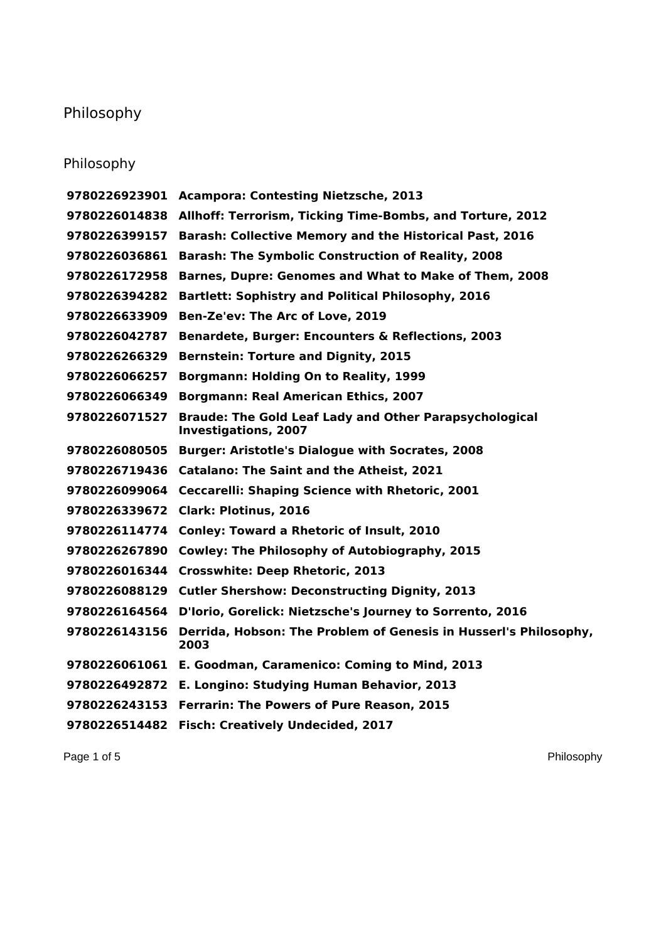## Philosophy

## Philosophy

|               | 9780226923901 Acampora: Contesting Nietzsche, 2013                                           |
|---------------|----------------------------------------------------------------------------------------------|
| 9780226014838 | Allhoff: Terrorism, Ticking Time-Bombs, and Torture, 2012                                    |
| 9780226399157 | <b>Barash: Collective Memory and the Historical Past, 2016</b>                               |
| 9780226036861 | <b>Barash: The Symbolic Construction of Reality, 2008</b>                                    |
| 9780226172958 | Barnes, Dupre: Genomes and What to Make of Them, 2008                                        |
| 9780226394282 | <b>Bartlett: Sophistry and Political Philosophy, 2016</b>                                    |
| 9780226633909 | Ben-Ze'ev: The Arc of Love, 2019                                                             |
| 9780226042787 | Benardete, Burger: Encounters & Reflections, 2003                                            |
| 9780226266329 | <b>Bernstein: Torture and Dignity, 2015</b>                                                  |
| 9780226066257 | Borgmann: Holding On to Reality, 1999                                                        |
| 9780226066349 | <b>Borgmann: Real American Ethics, 2007</b>                                                  |
| 9780226071527 | <b>Braude: The Gold Leaf Lady and Other Parapsychological</b><br><b>Investigations, 2007</b> |
|               | 9780226080505 Burger: Aristotle's Dialogue with Socrates, 2008                               |
|               | 9780226719436 Catalano: The Saint and the Atheist, 2021                                      |
| 9780226099064 | Ceccarelli: Shaping Science with Rhetoric, 2001                                              |
| 9780226339672 | <b>Clark: Plotinus, 2016</b>                                                                 |
|               | 9780226114774 Conley: Toward a Rhetoric of Insult, 2010                                      |
| 9780226267890 | <b>Cowley: The Philosophy of Autobiography, 2015</b>                                         |
|               | 9780226016344 Crosswhite: Deep Rhetoric, 2013                                                |
|               | 9780226088129 Cutler Shershow: Deconstructing Dignity, 2013                                  |
|               | 9780226164564 D'Iorio, Gorelick: Nietzsche's Journey to Sorrento, 2016                       |
| 9780226143156 | Derrida, Hobson: The Problem of Genesis in Husserl's Philosophy,<br>2003                     |
|               | 9780226061061 E. Goodman, Caramenico: Coming to Mind, 2013                                   |
|               | 9780226492872 E. Longino: Studying Human Behavior, 2013                                      |
|               | 9780226243153 Ferrarin: The Powers of Pure Reason, 2015                                      |
| 9780226514482 | <b>Fisch: Creatively Undecided, 2017</b>                                                     |

Page 1 of 5 Philosophy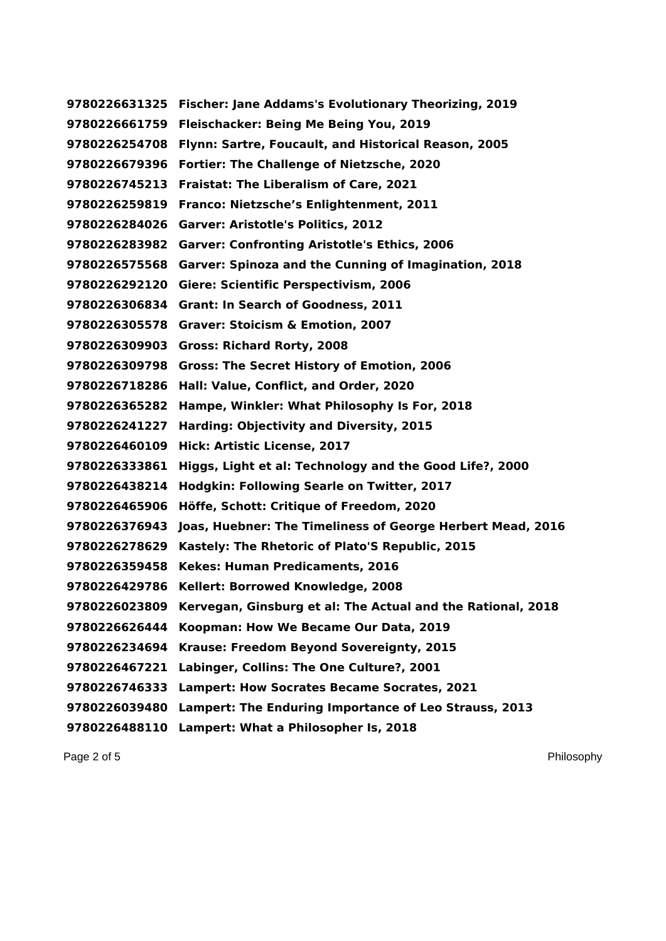**Fischer: Jane Addams's Evolutionary Theorizing, 2019 Fleischacker: Being Me Being You, 2019 Flynn: Sartre, Foucault, and Historical Reason, 2005 Fortier: The Challenge of Nietzsche, 2020 Fraistat: The Liberalism of Care, 2021 Franco: Nietzsche's Enlightenment, 2011 Garver: Aristotle's Politics, 2012 Garver: Confronting Aristotle's Ethics, 2006 Garver: Spinoza and the Cunning of Imagination, 2018 Giere: Scientific Perspectivism, 2006 Grant: In Search of Goodness, 2011 Graver: Stoicism & Emotion, 2007 Gross: Richard Rorty, 2008 Gross: The Secret History of Emotion, 2006 Hall: Value, Conflict, and Order, 2020 Hampe, Winkler: What Philosophy Is For, 2018 Harding: Objectivity and Diversity, 2015 Hick: Artistic License, 2017 Higgs, Light et al: Technology and the Good Life?, 2000 Hodgkin: Following Searle on Twitter, 2017 Höffe, Schott: Critique of Freedom, 2020 Joas, Huebner: The Timeliness of George Herbert Mead, 2016 Kastely: The Rhetoric of Plato'S Republic, 2015 Kekes: Human Predicaments, 2016 Kellert: Borrowed Knowledge, 2008 Kervegan, Ginsburg et al: The Actual and the Rational, 2018 Koopman: How We Became Our Data, 2019 Krause: Freedom Beyond Sovereignty, 2015 Labinger, Collins: The One Culture?, 2001 Lampert: How Socrates Became Socrates, 2021 Lampert: The Enduring Importance of Leo Strauss, 2013 Lampert: What a Philosopher Is, 2018**

Page 2 of 5 Philosophy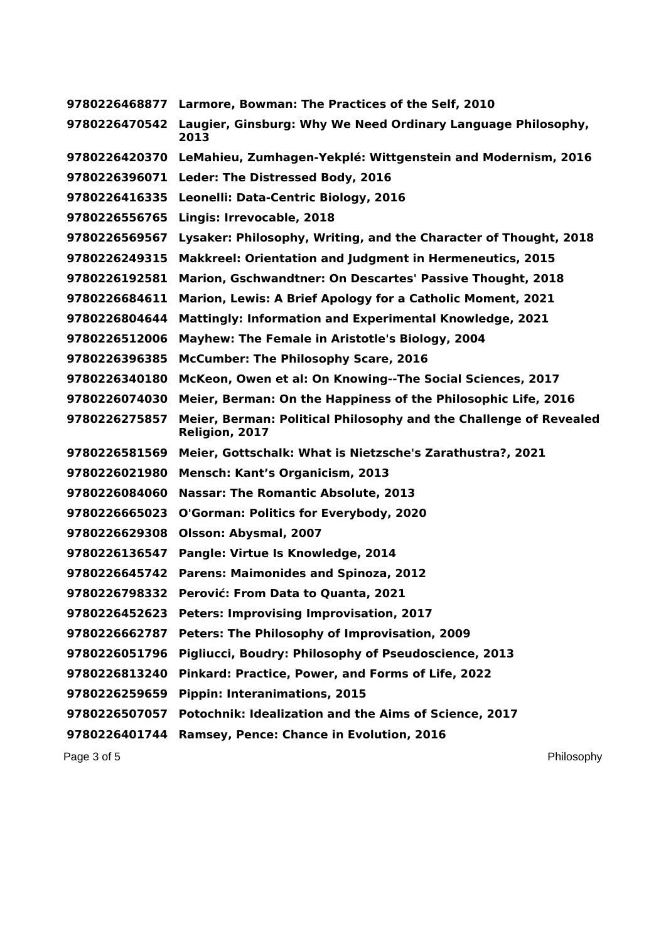**Larmore, Bowman: The Practices of the Self, 2010 Laugier, Ginsburg: Why We Need Ordinary Language Philosophy, LeMahieu, Zumhagen-Yekplé: Wittgenstein and Modernism, 2016 Leder: The Distressed Body, 2016 Leonelli: Data-Centric Biology, 2016 Lingis: Irrevocable, 2018 Lysaker: Philosophy, Writing, and the Character of Thought, 2018 Makkreel: Orientation and Judgment in Hermeneutics, 2015 Marion, Gschwandtner: On Descartes' Passive Thought, 2018 Marion, Lewis: A Brief Apology for a Catholic Moment, 2021 Mattingly: Information and Experimental Knowledge, 2021 Mayhew: The Female in Aristotle's Biology, 2004 McCumber: The Philosophy Scare, 2016 McKeon, Owen et al: On Knowing--The Social Sciences, 2017 Meier, Berman: On the Happiness of the Philosophic Life, 2016 Meier, Berman: Political Philosophy and the Challenge of Revealed Religion, 2017 Meier, Gottschalk: What is Nietzsche's Zarathustra?, 2021 Mensch: Kant's Organicism, 2013 Nassar: The Romantic Absolute, 2013 O'Gorman: Politics for Everybody, 2020 Olsson: Abysmal, 2007 Pangle: Virtue Is Knowledge, 2014 Parens: Maimonides and Spinoza, 2012 Perović: From Data to Quanta, 2021 Peters: Improvising Improvisation, 2017 Peters: The Philosophy of Improvisation, 2009 Pigliucci, Boudry: Philosophy of Pseudoscience, 2013 Pinkard: Practice, Power, and Forms of Life, 2022 Pippin: Interanimations, 2015 Potochnik: Idealization and the Aims of Science, 2017 Ramsey, Pence: Chance in Evolution, 2016**

Page 3 of 5 Philosophy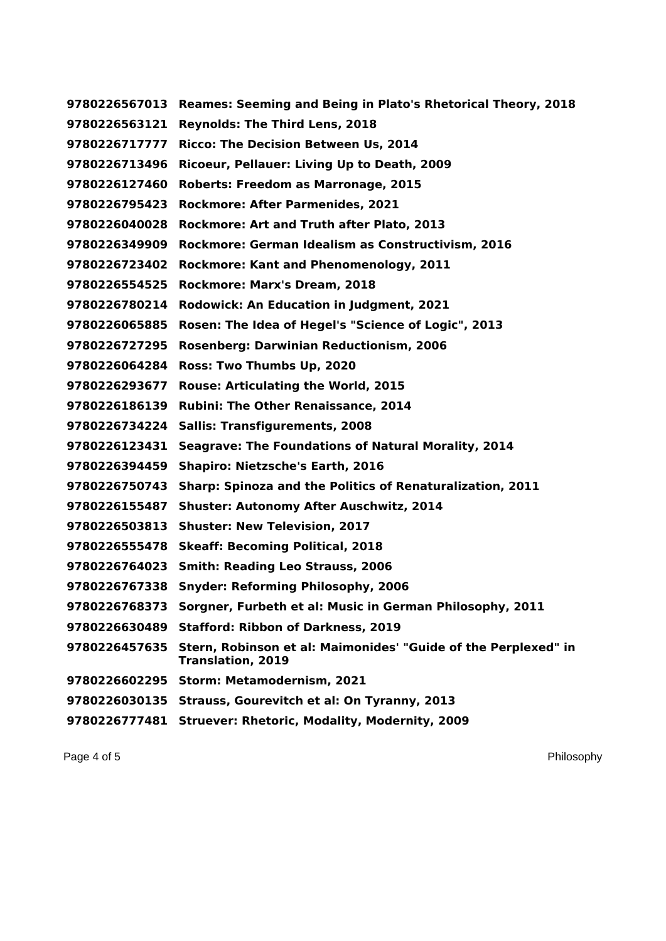**Reames: Seeming and Being in Plato's Rhetorical Theory, 2018 Reynolds: The Third Lens, 2018 Ricco: The Decision Between Us, 2014 Ricoeur, Pellauer: Living Up to Death, 2009 Roberts: Freedom as Marronage, 2015 Rockmore: After Parmenides, 2021 Rockmore: Art and Truth after Plato, 2013 Rockmore: German Idealism as Constructivism, 2016 Rockmore: Kant and Phenomenology, 2011 Rockmore: Marx's Dream, 2018 Rodowick: An Education in Judgment, 2021 Rosen: The Idea of Hegel's "Science of Logic", 2013 Rosenberg: Darwinian Reductionism, 2006 Ross: Two Thumbs Up, 2020 Rouse: Articulating the World, 2015 Rubini: The Other Renaissance, 2014 Sallis: Transfigurements, 2008 Seagrave: The Foundations of Natural Morality, 2014 Shapiro: Nietzsche's Earth, 2016 Sharp: Spinoza and the Politics of Renaturalization, 2011 Shuster: Autonomy After Auschwitz, 2014 Shuster: New Television, 2017 Skeaff: Becoming Political, 2018 Smith: Reading Leo Strauss, 2006 Snyder: Reforming Philosophy, 2006 Sorgner, Furbeth et al: Music in German Philosophy, 2011 Stafford: Ribbon of Darkness, 2019 Stern, Robinson et al: Maimonides' "Guide of the Perplexed" in Translation, 2019 Storm: Metamodernism, 2021 Strauss, Gourevitch et al: On Tyranny, 2013 Struever: Rhetoric, Modality, Modernity, 2009**

Page 4 of 5 Philosophy